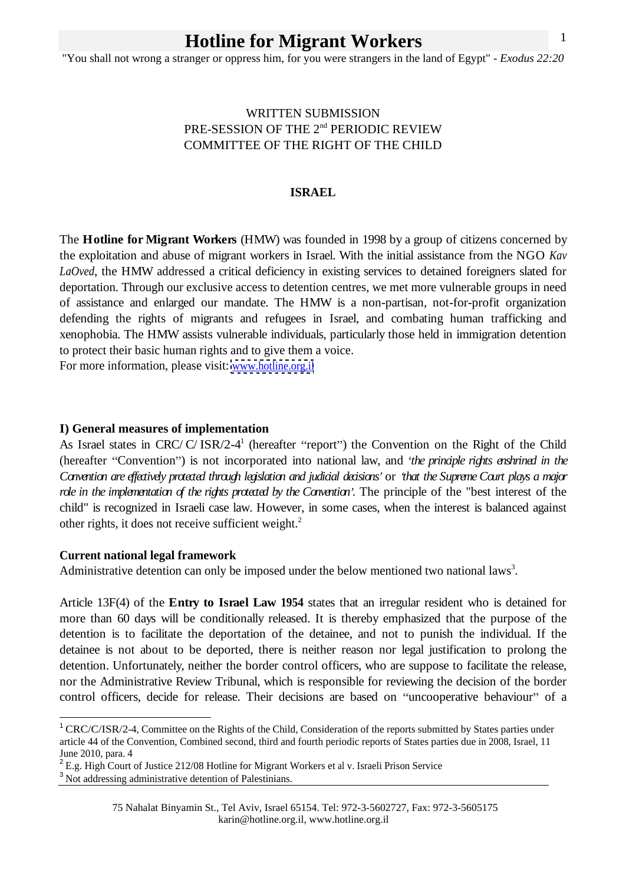"You shall not wrong a stranger or oppress him, for you were strangers in the land of Egypt" - *Exodus 22:20*

# WRITTEN SUBMISSION PRE-SESSION OF THE 2nd PERIODIC REVIEW COMMITTEE OF THE RIGHT OF THE CHILD

#### **ISRAEL**

The **Hotline for Migrant Workers** (HMW) was founded in 1998 by a group of citizens concerned by the exploitation and abuse of migrant workers in Israel. With the initial assistance from the NGO *Kav LaOved*, the HMW addressed a critical deficiency in existing services to detained foreigners slated for deportation. Through our exclusive access to detention centres, we met more vulnerable groups in need of assistance and enlarged our mandate. The HMW is a non-partisan, not-for-profit organization defending the rights of migrants and refugees in Israel, and combating human trafficking and xenophobia. The HMW assists vulnerable individuals, particularly those held in immigration detention to protect their basic human rights and to give them a voice.

For more information, please visit: [www.hotline.org.il](http://www.hotline.org.il)

### **I) General measures of implementation**

As Israel states in CRC/C/ISR/2-4<sup>1</sup> (hereafter "report") the Convention on the Right of the Child (hereafter "Convention") is not incorporated into national law, and *the principle rights enshrined in the* Convention are effectively protected through legislation and judicial decisions' or 'that the Supreme Court plays a major *role in the implementation of the rights protected by the Convention* . The principle of the "best interest of the child" is recognized in Israeli case law. However, in some cases, when the interest is balanced against other rights, it does not receive sufficient weight.<sup>2</sup>

#### **Current national legal framework**

Administrative detention can only be imposed under the below mentioned two national laws<sup>3</sup>. .

Article 13F(4) of the **Entry to Israel Law 1954** states that an irregular resident who is detained for more than 60 days will be conditionally released. It is thereby emphasized that the purpose of the detention is to facilitate the deportation of the detainee, and not to punish the individual. If the detainee is not about to be deported, there is neither reason nor legal justification to prolong the detention. Unfortunately, neither the border control officers, who are suppose to facilitate the release, nor the Administrative Review Tribunal, which is responsible for reviewing the decision of the border control officers, decide for release. Their decisions are based on "uncooperative behaviour" of a

<sup>&</sup>lt;sup>1</sup> CRC/C/ISR/2-4, Committee on the Rights of the Child, Consideration of the reports submitted by States parties under article 44 of the Convention, Combined second, third and fourth periodic reports of States parties due in 2008, Israel, 11 June 2010, para. 4

<sup>&</sup>lt;sup>2</sup> E.g. High Court of Justice 212/08 Hotline for Migrant Workers et al v. Israeli Prison Service

<sup>&</sup>lt;sup>3</sup> Not addressing administrative detention of Palestinians.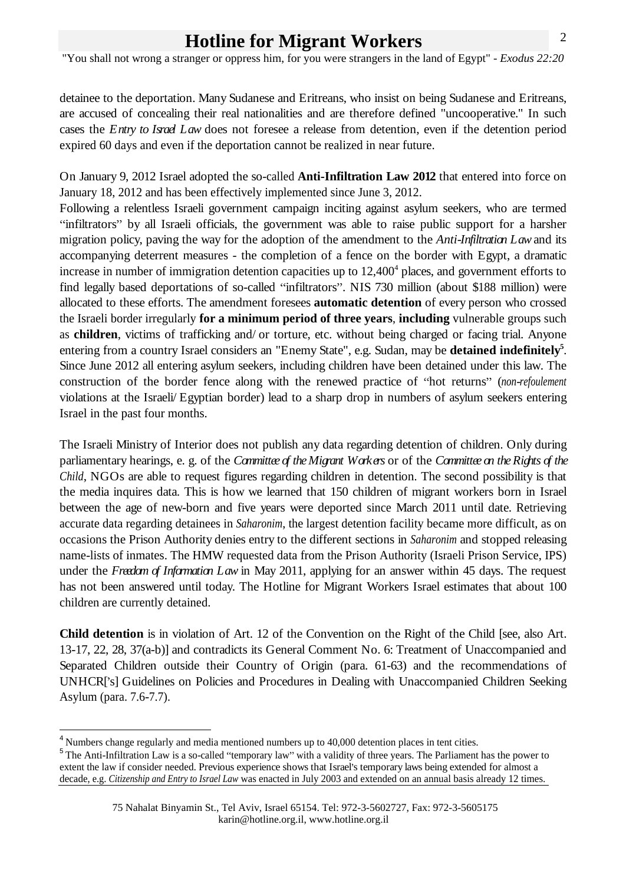"You shall not wrong a stranger or oppress him, for you were strangers in the land of Egypt" - *Exodus 22:20*

detainee to the deportation. Many Sudanese and Eritreans, who insist on being Sudanese and Eritreans, are accused of concealing their real nationalities and are therefore defined "uncooperative." In such cases the *Entry to Israel Law* does not foresee a release from detention, even if the detention period expired 60 days and even if the deportation cannot be realized in near future.

On January 9, 2012 Israel adopted the so-called **Anti-Infiltration Law 2012** that entered into force on January 18, 2012 and has been effectively implemented since June 3, 2012.

Following a relentless Israeli government campaign inciting against asylum seekers, who are termed "infiltrators" by all Israeli officials, the government was able to raise public support for a harsher migration policy, paving the way for the adoption of the amendment to the *Anti-Infiltration Law*and its accompanying deterrent measures - the completion of a fence on the border with Egypt, a dramatic increase in number of immigration detention capacities up to 12,400<sup>4</sup> places, and government efforts to find legally based deportations of so-called "infiltrators". NIS 730 million (about \$188 million) were allocated to these efforts. The amendment foresees **automatic detention** of every person who crossed the Israeli border irregularly **for a minimum period of three years**, **including** vulnerable groups such as **children**, victims of trafficking and/ or torture, etc. without being charged or facing trial. Anyone entering from a country Israel considers an "Enemy State", e.g. Sudan, may be **detained indefinitely 5** . Since June <sup>2012</sup> all entering asylum seekers, including children have been detained under this law. The construction of the border fence along with the renewed practice of "hot returns" (*non-refoulement* violations at the Israeli/ Egyptian border) lead to a sharp drop in numbers of asylum seekers entering Israel in the past four months.

The Israeli Ministry of Interior does not publish any data regarding detention of children. Only during parliamentary hearings, e. g. of the *Committee of theMigrant Workers* or of the *Committee on theRights of the Child*, NGOs are able to request figures regarding children in detention. The second possibility is that the media inquires data. This is how we learned that 150 children of migrant workers born in Israel between the age of new-born and five years were deported since March 2011 until date. Retrieving accurate data regarding detainees in *Saharonim*, the largest detention facility became more difficult, as on occasions the Prison Authority denies entry to the different sections in *Saharonim* and stopped releasing name-lists of inmates. The HMW requested data from the Prison Authority (Israeli Prison Service, IPS) under the *Freedom of Information Law* in May 2011, applying for an answer within 45 days. The request has not been answered until today. The Hotline for Migrant Workers Israel estimates that about 100 children are currently detained.

**Child detention** is in violation of Art. 12 of the Convention on the Right of the Child [see, also Art. 13-17, 22, 28, 37(a-b)] and contradicts its General Comment No. 6: Treatment of Unaccompanied and Separated Children outside their Country of Origin (para. 61-63) and the recommendations of UNHCR['s] Guidelines on Policies and Procedures in Dealing with Unaccompanied Children Seeking Asylum (para. 7.6-7.7).

 $^{4}$  Numbers change regularly and media mentioned numbers up to 40,000 detention places in tent cities.  $^{5}$  The Anti-Infiltration Law is a so-called "temporary law" with a validity of three years. The Parliament has th extent the law if consider needed. Previous experience shows that Israel's temporary laws being extended for almost a decade, e.g. *Citizenship and Entry to Israel Law* was enacted in July 2003 and extended on an annual basis already 12 times.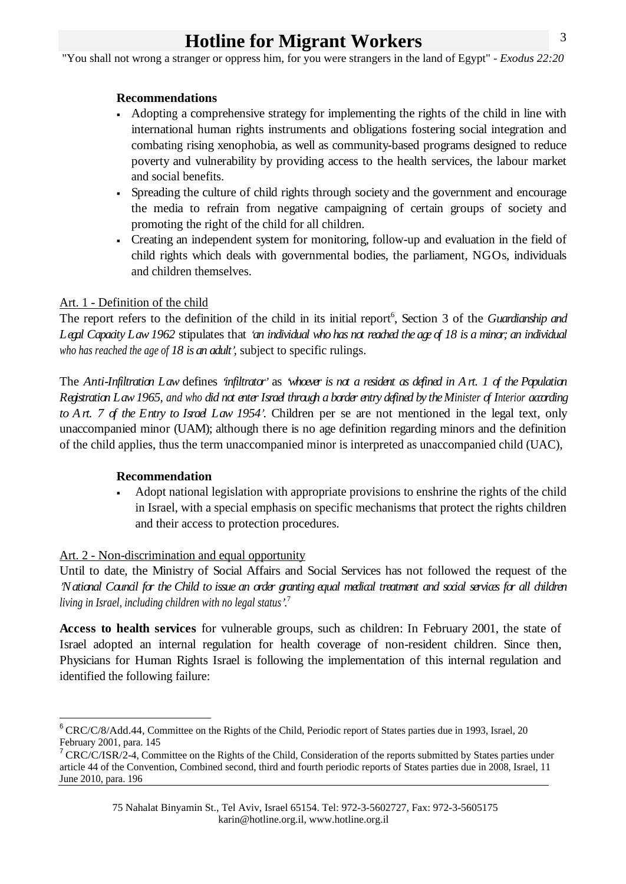"You shall not wrong a stranger or oppress him, for you were strangers in the land of Egypt" - *Exodus 22:20*

### **Recommendations**

- Adopting a comprehensive strategy for implementing the rights of the child in line with  $\blacksquare$ international human rights instruments and obligations fostering social integration and combating rising xenophobia, as well as community-based programs designed to reduce poverty and vulnerability by providing access to the health services, the labour market and social benefits.
- Spreading the culture of child rights through society and the government and encourage  $\mathbf{r}$ the media to refrain from negative campaigning of certain groups of society and promoting the right of the child for all children.
- Creating an independent system for monitoring, follow-up and evaluation in the field of child rights which deals with governmental bodies, the parliament, NGOs, individuals and children themselves.

### Art. 1 - Definition of the child

The report refers to the definition of the child in its initial report<sup>6</sup>, Section 3 of the *Guardianship and* Legal Capacity Law 1962 stipulates that 'an individual who has not reached the age of 18 is a minor; an individual *who has reached the age of 18 is an adult* , subject to specific rulings.

The Anti-Infiltration Law defines 'infiltrator' as 'whoever is not a resident as defined in  $A$ rt. 1 of the Population *Registration Law1965, and who did not enterIsrael through a border entry defined by theMinister of Interior according to Art. 7 of the Entry to Israel Law 1954* . Children per se are not mentioned in the legal text, only unaccompanied minor (UAM); although there is no age definition regarding minors and the definition of the child applies, thus the term unaccompanied minor is interpreted as unaccompanied child (UAC),

### **Recommendation**

Adopt national legislation with appropriate provisions to enshrine the rights of the child in Israel, with a special emphasis on specific mechanisms that protect the rights children and their access to protection procedures.

# Art. 2 - Non-discrimination and equal opportunity

Until to date, the Ministry of Social Affairs and Social Services has not followed the request of the 'National Council for the Child to issue an order granting equal medical treatment and social services for all drildren *living in Israel, including children with no legal status* .7

**Access to health services** for vulnerable groups, such as children: In February 2001, the state of Israel adopted an internal regulation for health coverage of non-resident children. Since then, Physicians for Human Rights Israel is following the implementation of this internal regulation and identified the following failure:

<sup>&</sup>lt;sup>6</sup> CRC/C/8/Add.44, Committee on the Rights of the Child, Periodic report of States parties due in 1993, Israel, 20 February 2001, para. 145<br><sup>7</sup> CRC/C/ISR/2-4, Committee on the Rights of the Child, Consideration of the reports submitted by States parties under

article 44 of the Convention, Combined second, third and fourth periodic reports of States parties due in 2008, Israel, 11 June 2010, para. 196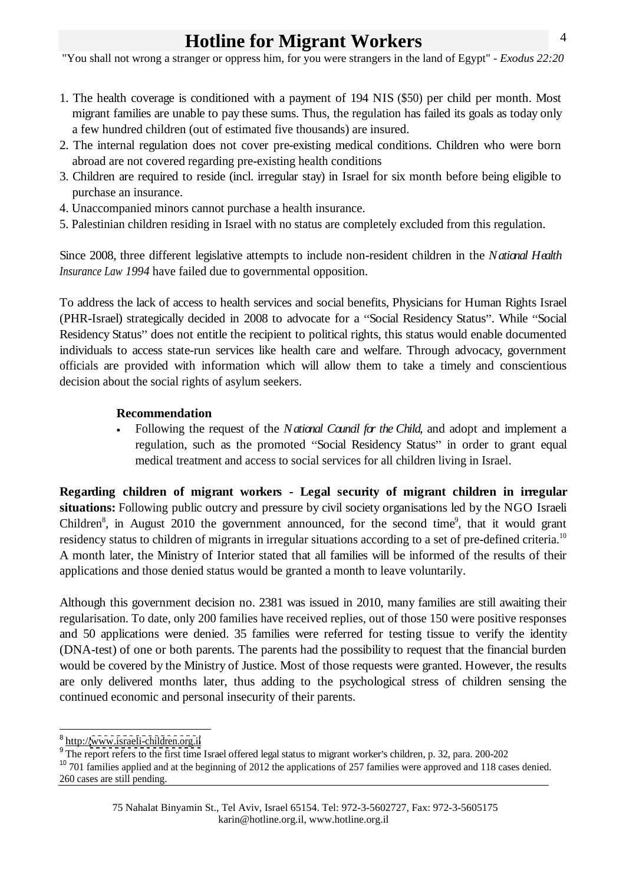"You shall not wrong a stranger or oppress him, for you were strangers in the land of Egypt" - *Exodus 22:20*

- 1. The health coverage is conditioned with a payment of 194 NIS (\$50) per child per month. Most migrant families are unable to pay these sums. Thus, the regulation has failed its goals as today only a few hundred children (out of estimated five thousands) are insured.
- 2. The internal regulation does not cover pre-existing medical conditions. Children who were born abroad are not covered regarding pre-existing health conditions
- 3. Children are required to reside (incl. irregular stay) in Israel for six month before being eligible to purchase an insurance.
- 4. Unaccompanied minors cannot purchase a health insurance.
- 5. Palestinian children residing in Israel with no status are completely excluded from this regulation.

Since 2008, three different legislative attempts to include non-resident children in the *National Health Insurance Law 1994* have failed due to governmental opposition.

To address the lack of access to health services and social benefits, Physicians for Human Rights Israel (PHR-Israel) strategically decided in 2008 to advocate for a "Social Residency Status". While "Social Residency Status" does not entitle the recipient to political rights, this status would enable documented individuals to access state-run services like health care and welfare. Through advocacy, government officials are provided with information which will allow them to take a timely and conscientious decision about the social rights of asylum seekers.

### **Recommendation**

Following the request of the *National Council for the Child*, and adopt and implement a regulation, such as the promoted "Social Residency Status" in order to grant equal medical treatment and access to social services for all children living in Israel.

**Regarding children of migrant workers - Legal security of migrant children in irregular situations:** Following public outcry and pressure by civil society organisations led by the NGO Israeli Children<sup>8</sup>, in August 2010 the government announced, for the second time<sup>9</sup>, that it would grant , that it would grant residency status to children of migrants in irregular situations according to a set of pre-defined criteria.<sup>10</sup> A month later, the Ministry of Interior stated that all families will be informed of the resultsof their applications and those denied status would be granted a month to leave voluntarily.

Although this government decision no. 2381 was issued in 2010, many families are still awaiting their regularisation. To date, only 200 families have received replies, out of those 150 were positive responses and 50 applications were denied. 35 families were referred for testing tissue to verify the identity (DNA-test) of one or both parents. The parents had the possibility to request that the financial burden would be covered by the Ministry of Justice. Most of those requests were granted. However, the results are only delivered months later, thus adding to the psychological stress of children sensing the continued economic and personal insecurity of their parents.

 $\frac{8 \text{ h} t}{2}$ http:/[/www.israeli-children.org.il](http://www.israeli-children.org.il)

 $9$  The report refers to the first time Israel offered legal status to migrant worker's children, p. 32, para. 200-202

<sup>&</sup>lt;sup>10</sup> 701 families applied and at the beginning of 2012 the applications of 257 families were approved and 118 cases denied. 260 cases are still pending.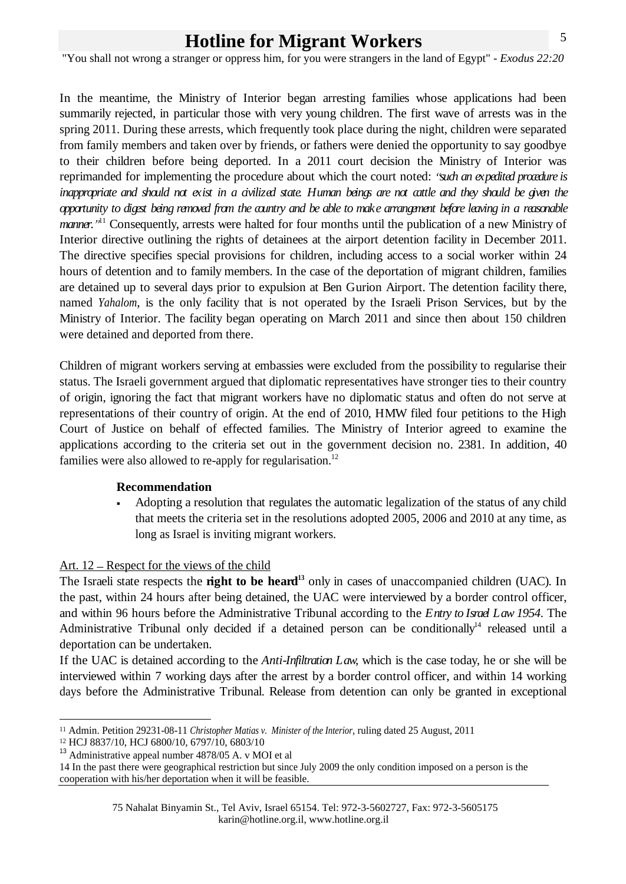"You shall not wrong a stranger or oppress him, for you were strangers in the land of Egypt" - *Exodus 22:20*

In the meantime, the Ministry of Interior began arresting families whose applications had been summarily rejected, in particular those with very young children. The first wave of arrests was in the spring 2011. During these arrests, which frequently took place during the night, children were separated from family members and taken over by friends, or fathers were denied the opportunity to say goodbye to their children before being deported. In a 2011 court decision the Ministry of Interior was reprimanded for implementing the procedure about which the court noted: *"such an expedited procedure* is inappropriate and should not exist in a avilized state. Human beings are not attile and they should be given the opportunity to digest being removed from the country and be able to make arrangement before leaving in a reasonable *manner.* "<sup>11</sup> Consequently, arrests were halted for four months until the publication of a new Ministry of Interior directive outlining the rights of detainees at the airport detention facility in December 2011. The directive specifies special provisions for children, including access to a social worker within 24 hours of detention and to family members. In the case of the deportation of migrant children, families are detained up to several days prior to expulsion at Ben Gurion Airport. The detention facility there, named *Yahalom*, is the only facility that is not operated by the Israeli Prison Services, but by the Ministry of Interior. The facility began operating on March 2011 and since then about 150 children were detained and deported from there.

Children of migrant workers serving at embassies were excluded from the possibility to regularise their status. The Israeli government argued that diplomatic representatives have stronger ties to their country of origin, ignoring the fact that migrant workers have no diplomatic status and often do not serve at representations of their country of origin. At the end of 2010, HMW filed four petitions to the High Court of Justice on behalf of effected families. The Ministry of Interior agreed to examine the applications according to the criteria set out in the government decision no. 2381. In addition, 40 families were also allowed to re-apply for regularisation.<sup>12</sup>

#### **Recommendation**

Adopting a resolution that regulates the automatic legalization of the status of any child that meets the criteria set in the resolutions adopted 2005, 2006 and 2010 at any time, as long as Israel is inviting migrant workers.

Art. 12 – Respect for the views of the child<br>The Israeli state respects the **right to be heard**<sup>13</sup> only in cases of unaccompanied children (UAC). In the past, within 24 hours after being detained, the UAC were interviewed by a border control officer, and within 96 hours before the Administrative Tribunal according to the *Entry to Israel Law 1954*. The Administrative Tribunal only decided if a detained person can be conditionally<sup>14</sup> released until a <sup>14</sup> released until a deportation can be undertaken.

If the UAC is detained according to the *Anti-Infiltration Law*, which is the case today, he or she will be interviewed within 7 working days after the arrest by a border control officer, and within 14 working days before the Administrative Tribunal. Release from detention can only be granted in exceptional

 <sup>11</sup> Admin. Petition 29231-08-11 *Christopher Matias v. Minister of the Interior*, ruling dated 25 August, 2011

<sup>12</sup> HCJ 8837/10, HCJ 6800/10, 6797/10, 6803/10

<sup>13</sup> Administrative appeal number 4878/05 A. v MOI et al

<sup>14</sup> In the past there were geographical restriction but since July 2009 the only condition imposed on a person is the cooperation with his/her deportation when it will be feasible.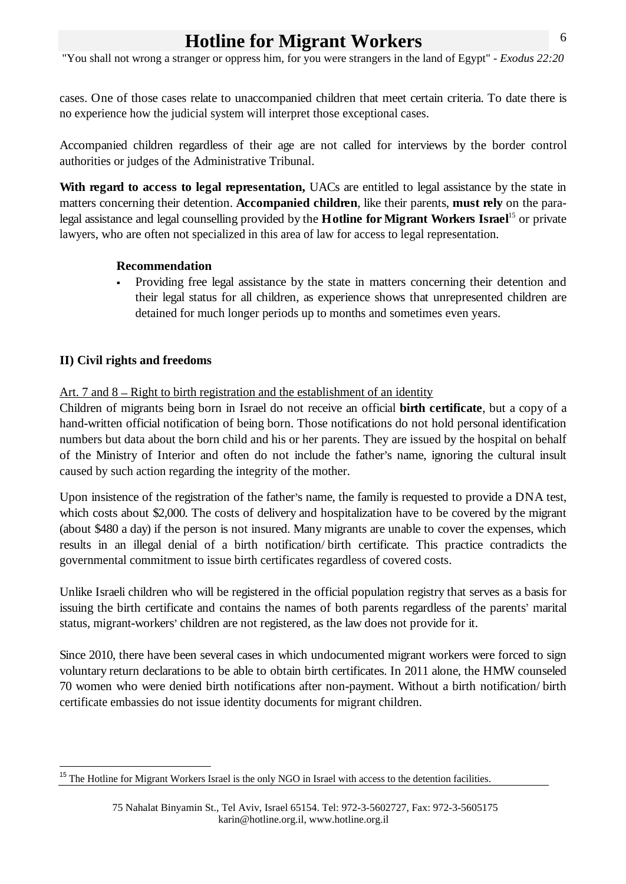"You shall not wrong a stranger or oppress him, for you were strangers in the land of Egypt" - *Exodus 22:20*

cases. One of those cases relate to unaccompanied children that meet certain criteria. To date there is no experience how the judicial system will interpret those exceptional cases.

Accompanied children regardless of their age are not called for interviews by the border control authorities or judges of the Administrative Tribunal.

**With regard to access to legal representation,** UACs are entitled to legal assistance by the state in matters concerning their detention. **Accompanied children**, like their parents, **must rely** on the paralegal assistance and legal counselling provided by the **Hotline for Migrant Workers Israel**<sup>15</sup> or private lawyers, who are often not specialized in this area of law for access to legal representation.

### **Recommendation**

Providing free legal assistance by the state in matters concerning their detention and their legal status for all children, as experience shows that unrepresented children are detained for much longer periods up to months and sometimes even years.

# **II) Civil rights and freedoms**

Art. 7 and  $8 -$  Right to birth registration and the establishment of an identity

Children of migrants being born in Israel do not receive an official **birth certificate**, but a copy of a hand-written official notification of being born. Those notifications do not hold personal identification numbers but data about the born child and his or her parents. They are issued by the hospital on behalf of the Ministry of Interior and often do not include the father's name, ignoring the cultural insult caused by such action regarding the integrity of the mother.

Upon insistence of the registration of the father's name, the family is requested to provide a DNA test, which costs about \$2,000. The costs of delivery and hospitalization have to be covered by the migrant (about \$480 a day) if the person is not insured. Many migrants are unable to cover the expenses, which results in an illegal denial of abirth notification/ birth certificate. This practice contradicts the governmental commitment to issue birth certificates regardless of covered costs.

Unlike Israeli children who will be registered in the official population registry that serves as a basis for issuing the birth certificate and contains the names of both parents regardless of the parents' marital status, migrant-workers' children are not registered, as the law does not provide for it.

Since 2010, there have been several cases in which undocumented migrant workers were forced to sign voluntary return declarations to be able to obtain birth certificates. In 2011 alone, the HMW counseled 70 women who were denied birth notifications after non-payment. Without a birth notification/ birth certificate embassies do not issue identity documents for migrant children.

<sup>&</sup>lt;sup>15</sup> The Hotline for Migrant Workers Israel is the only NGO in Israel with access to the detention facilities.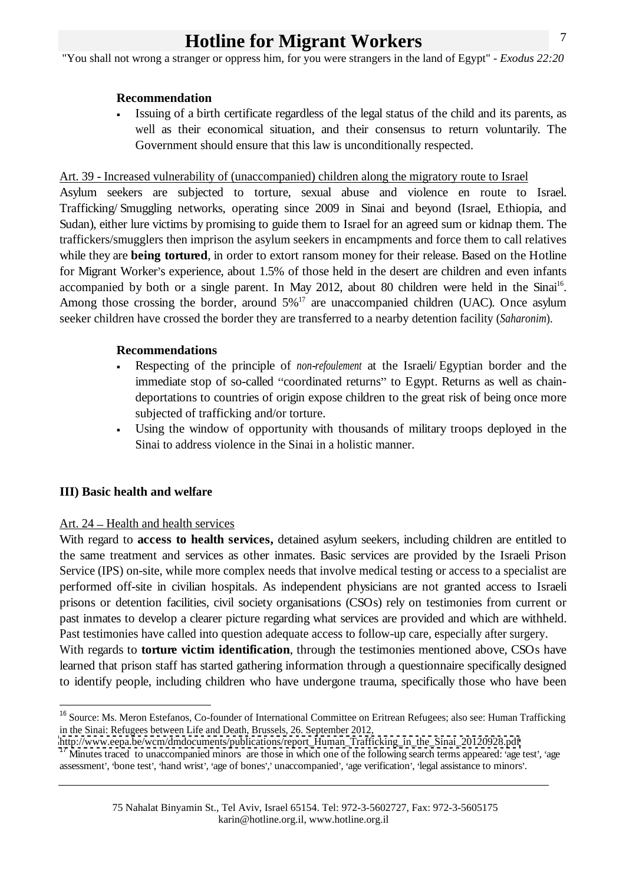"You shall not wrong a stranger or oppress him, for you were strangers in the land of Egypt" - *Exodus 22:20*

#### **Recommendation**

Issuing of a birth certificate regardless of the legal status of the child and its parents, as well as their economical situation, and their consensus to return voluntarily. The Government should ensure that this law is unconditionally respected.

#### Art. 39 - Increased vulnerability of (unaccompanied) children along the migratory route to Israel

Asylum seekers are subjected to torture, sexual abuse and violence en route to Israel. Trafficking/ Smuggling networks, operating since 2009 in Sinai and beyond (Israel, Ethiopia, and Sudan), either lure victims by promising to guide them to Israel for an agreed sum or kidnap them. The traffickers/smugglers then imprison the asylum seekers in encampments and force them to call relatives while they are **being tortured**, in order to extort ransom money for their release. Based on the Hotline for Migrant Worker's experience, about 1.5% of those held in the desert are children and even infants accompanied by both or a single parent. In May 2012, about 80 children were held in the Sinai<sup>16</sup>. Among those crossing the border, around  $5\%$ <sup>17</sup> are unaccompanied children (UAC). Once asylum seeker children have crossed the border they are transferred to a nearby detention facility (*Saharonim*).

#### **Recommendations**

- Respecting of the principle of *non-refoulement* at the Israeli/ Egyptian border and the immediate stop of so-called "coordinated returns" to Egypt. Returns as well as chaindeportations to countries of origin expose children to the great risk of being once more subjected of trafficking and/or torture.
- Using the window of opportunity with thousands of military troops deployed in the Sinai to address violence in the Sinai in a holistic manner.

#### **III) Basic health and welfare**

#### Art.  $24$  – Health and health services

With regard to **access to health services,** detained asylum seekers, including children are entitled to the same treatment and services as other inmates. Basic services are provided by the Israeli Prison Service (IPS) on-site, while more complex needs that involve medical testing or access to a specialist are performed off-site in civilian hospitals. As independent physicians are not granted access to Israeli prisons or detention facilities, civil society organisations (CSOs) rely on testimonies from current or past inmates to develop a clearer picture regarding what services are provided and which are withheld. Past testimonies have called into question adequate access to follow-up care, especially after surgery.

With regards to **torture victim identification**, through the testimonies mentioned above, CSOs have learned that prison staff has started gathering information through a questionnaire specifically designed to identify people, including children who have undergone trauma, specifically those who have been

<sup>&</sup>lt;sup>16</sup> Source: Ms. Meron Estefanos, Co-founder of International Committee on Eritrean Refugees; also see: Human Trafficking in the Sinai: Refugees between Life and Death, Brussels, 26. September 2012,

[http://www.eepa.be/wcm/dmdocuments/publications/report\\_Human\\_Trafficking\\_in\\_the\\_Sinai\\_20120928.pdf](http://www.eepa.be/wcm/dmdocuments/publications/report_Human_Trafficking_in_the_Sinai_20120928.pdf)

 $17$  Minutes traced to unaccompanied minors are those in which one of the following search terms appeared: 'age test', 'age assessment', 'bone test', 'hand wrist', 'age of bones',' unaccompanied', 'age verification', 'legal assistance to minors'.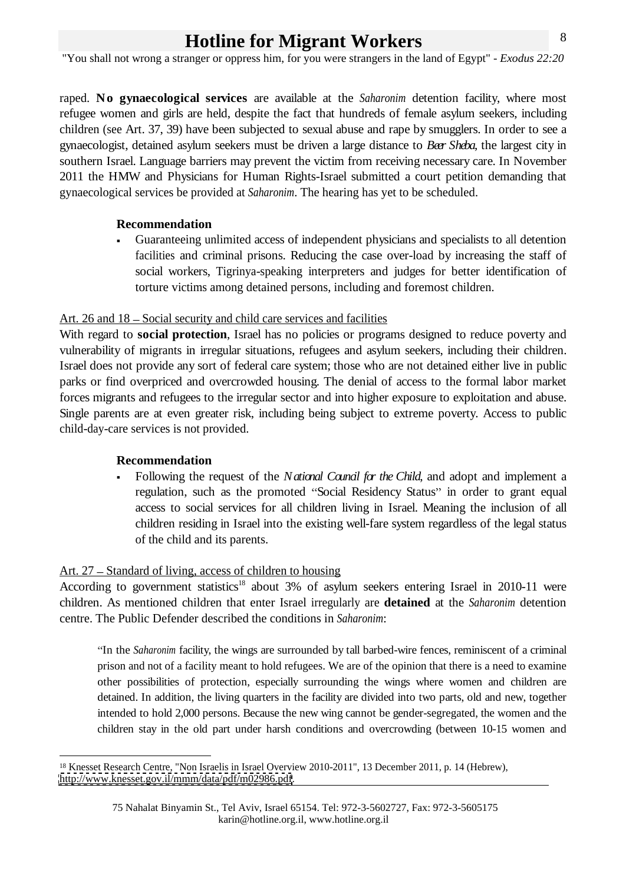"You shall not wrong a stranger or oppress him, for you were strangers in the land of Egypt" - *Exodus 22:20*

raped. **No gynaecological services** are available at the *Saharonim* detention facility, where most refugee women and girls are held, despite the fact that hundreds of female asylum seekers, including children (see Art. 37, 39) have been subjected to sexual abuse and rape by smugglers. In order to see a gynaecologist, detained asylum seekers must be driven a large distance to *Beer Sheba*, the largest city in southern Israel. Language barriers may prevent the victim from receiving necessary care. In November 2011 the HMW and Physicians for Human Rights-Israel submitted a court petition demanding that gynaecological services be provided at *Saharonim*. The hearing has yet to be scheduled.

### **Recommendation**

Guaranteeing unlimited access of independent physicians and specialists to all detention facilities and criminal prisons. Reducing the case over-load by increasing the staff of social workers, Tigrinya-speaking interpreters and judges for better identification of torture victims among detained persons, including and foremost children.

### Art. 26 and  $18 -$ Social security and child care services and facilities

With regard to **social protection**, Israel has no policies or programs designed to reduce poverty and vulnerability of migrants in irregular situations, refugees and asylum seekers, including their children. Israel does not provide any sort of federal care system; those who are not detained either live in public parks or find overpriced and overcrowded housing. The denial of access to the formal labor market forces migrants and refugees to the irregular sector and into higher exposure to exploitation and abuse.<br>Single parents are at even greater risk, including being subject to extreme poverty. Access to public child-day-care services is not provided.

# **Recommendation**

Following the request of the *National Council for the Child*, and adopt and implement a regulation, such as the promoted "Social Residency Status" in order to grant equal access to social services for all children living in Israel. Meaning the inclusion of all children residing in Israel into the existing well-fare system regardless of the legal status of the child and its parents.

# Art. 27 – Standard of living, access of children to housing

According to government statistics<sup>18</sup> about 3% of asylum seekers entering Israel in 2010-11 were children. As mentioned children that enter Israel irregularly are **detained** at the *Saharonim* detention centre. The Public Defender described the conditions in *Saharonim*:

In the *Saharonim* facility, the wings are surrounded by tall barbed-wire fences, reminiscent of a criminal prison and not of a facility meant to hold refugees. We are of the opinion that there is a need to examine other possibilities of protection, especially surrounding the wings where women and children are detained. In addition, the living quarters in the facility are divided into two parts, old and new, together intended to hold 2,000 persons. Because the new wing cannot be gender-segregated, the women and the children stay in the old part under harsh conditions and overcrowding (between 10-15 women and

 <sup>18</sup> Knesset Research Centre, "Non Israelis in Israel Overview 2010-2011", 13 December 2011, p. 14 (Hebrew), [http://www.knesset.gov.il/mmm/data/pdf/m02986.pdf.](http://www.knesset.gov.il/mmm/data/pdf/m02986.pdf)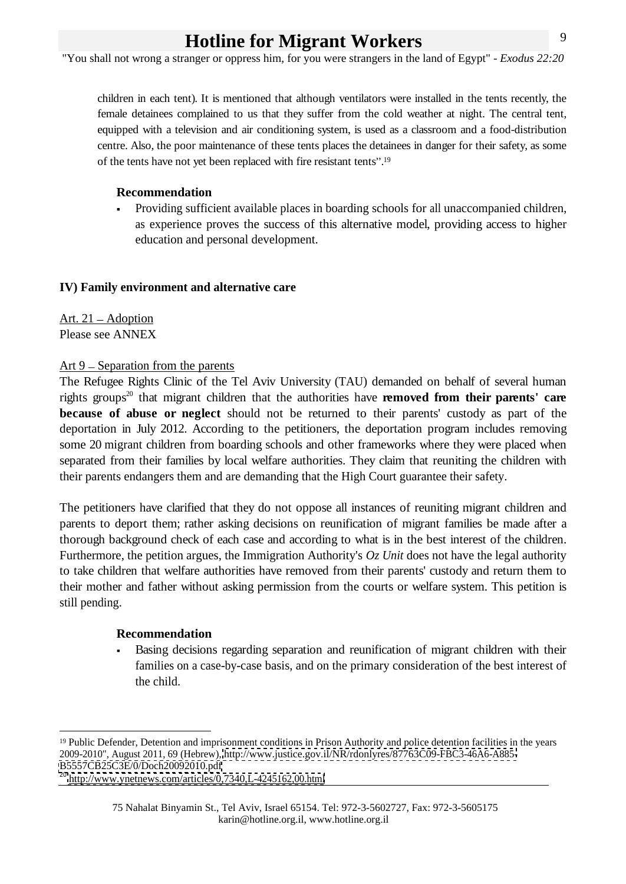"You shall not wrong a stranger or oppress him, for you were strangers in the land of Egypt" - *Exodus 22:20*

children in each tent). It is mentioned that although ventilators were installed in the tents recently, the female detainees complained to us that they suffer from the cold weather at night. The central tent, equipped with a television and air conditioning system, is used as a classroom and a food-distribution centre. Also, the poor maintenance of these tents places the detainees in danger for their safety, as some of the tents have not yet been replaced with fire resistant tents".<sup>19</sup>

### **Recommendation**

Providing sufficient available places in boarding schools for all unaccompanied children, as experience proves the success of this alternative model, providing access to higher education and personal development.

### **IV) Family environment and alternative care**

Art. 21 – Adoption Please see ANNEX

#### Art  $9$  – Separation from the parents

The Refugee Rights Clinic of the Tel Aviv University (TAU) demanded on behalf of several human rights groups<sup>20</sup> that migrant children that the authorities have **removed from their parents' care because of abuse or neglect** should not be returned to their parents' custody as part of the deportation in July 2012. According to the petitioners, the deportation program includes removing some 20 migrant children from boarding schools and other frameworks where they were placed when separated from their families by local welfare authorities. They claim that reuniting the children with their parents endangers them and are demanding that the High Court guarantee their safety.

The petitioners have clarified that they do not oppose all instances of reuniting migrant children and parents to deport them; rather asking decisions on reunification of migrant families be made after a thorough background check of each case and according to what is in the best interest of the children. Furthermore, the petition argues, the Immigration Authority's *Oz Unit* does not have the legal authority to take children that welfare authorities have removed from their parents' custody and return them to their mother and father without asking permission from the courts or welfare system. This petition is still pending.

#### **Recommendation**

Basing decisions regarding separation and reunification of migrant children with their families on a case-by-case basis, and on the primary consideration of the best interest of the child.

<sup>&</sup>lt;sup>19</sup> Public Defender, Detention and imprisonment conditions in Prison Authority and police detention facilities in the years 2009-2010", August 2011, 69 (Hebrew),<http://www.justice.gov.il/NR/rdonlyres/87763C09-FBC3-46A6-A885-> <B5557CB25C3E/0/Doch20092010.pdf>

<sup>&</sup>lt;sup>20</sup> <http://www.ynetnews.com/articles/0,7340,L-4245162,00.html>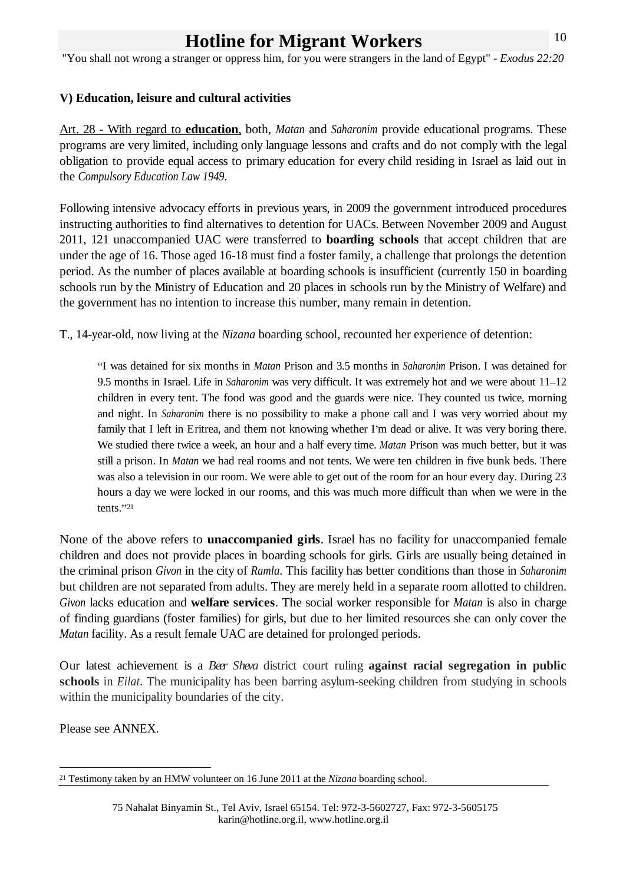"You shall not wrong a stranger or oppress him, for you were strangers in the land of Egypt" - *Exodus 22:20*

# **V) Education, leisure and cultural activities**

Art. 28 - With regard to **education**, both, *Matan* and *Saharonim* provide educational programs. These programs are very limited, including only language lessons and crafts and do not comply with the legal obligation to provide equal access to primary education for every child residing in Israel as laid out in

the *Compulsory Education Law 1949*.<br>Following intensive advocacy efforts in previous years, in 2009 the government introduced procedures instructing authorities to find alternatives to detention for UACs. Between November 2009 and August 2011, 121 unaccompanied UAC were transferred to **boarding schools** that accept children that are under the age of 16. Those aged 16-18 must find a foster family, a challenge that prolongs the detention period. As the number of places available at boarding schools is insufficient (currently 150 in boarding schools run by the Ministry of Education and 20 places in schools run by the Ministry of Welfare) and the government has no intention to increase this number, many remain in detention.

T., 14-year-old, now living at the *Nizana* boarding school, recounted her experience of detention:

I was detained for six months in *Matan* Prison and 3.5 months in *Saharonim* Prison. I was detained for 9.5 months in Israel. Life in *Saharonim* was very difficult. It was extremely hot and we were about 11–12 children in every tent. The food was good and the guards were nice. They counted us twice, morning and night. In *Saharonim* there is no possibility to make a phone call and I was very worried about my family that I left in Eritrea, and them not knowing whether I'm dead or alive. It was very boring there. We studied there twice a week, an hour and a half every time. *Matan* Prison was much better, but it was still a prison. In *Matan* we had real rooms and not tents. We were ten children in five bunk beds.There was also a television in our room. We were able to get out of the room for an hour every day. During 23 hours a day we were locked in our rooms, and this was much more difficult than when we were in the

tents. 21 None of the above refers to **unaccompanied girls**. Israel has no facility for unaccompanied female children and does not provide places in boarding schools for girls. Girls are usually being detained in the criminal prison *Givon* in the city of *Ramla*. This facility has better conditions than those in *Saharonim* but children are not separated from adults. They are merely held in a separate room allotted to children. *Givon* lacks education and **welfare services**. The social worker responsible for *Matan* is also in charge of finding guardians (foster families) for girls, but due to her limited resources she can only cover the *Matan* facility. As a result female UAC are detained for prolonged periods.

Our latest achievement is a *Beer Sheva* district court ruling **against racial segregation in public schools** in *Eilat*. The municipality has been barring asylum-seeking children from studying in schools within the municipality boundaries of the city.

Please see ANNEX.

 <sup>21</sup> Testimony taken by an HMW volunteer on 16 June 2011 at the *Nizana* boarding school.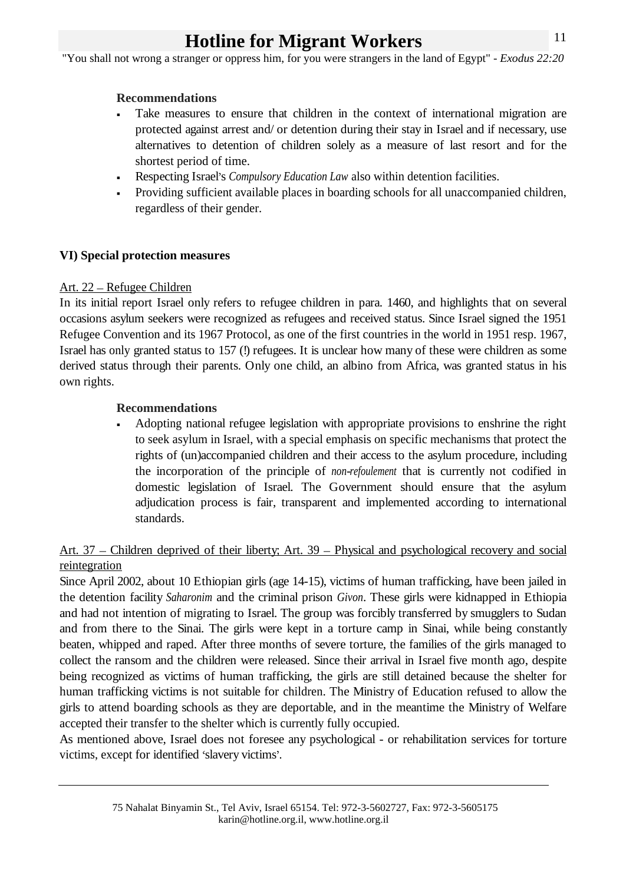"You shall not wrong a stranger or oppress him, for you were strangers in the land of Egypt" - *Exodus 22:20*

### **Recommendations**

- Take measures to ensure that children in the context of international migration are protected against arrest and/ or detention during their stay in Israel and if necessary, use alternatives to detention of children solely as a measure of last resort and for the shortest period of time.
- Respecting Israel's *Compulsory Education Law* also within detention facilities.
- Providing sufficient available places in boarding schools for all unaccompanied children, regardless of their gender.

# **VI) Special protection measures**

### Art. 22 – Refugee Children

In its initial report Israel only refers to refugee children in para. 1460, and highlights that on several occasions asylum seekers were recognized as refugees and received status. Since Israel signed the 1951 Refugee Convention and its 1967 Protocol, as one of the first countries in the world in 1951 resp. 1967, Israel has only granted status to 157 (!) refugees. It is unclear how many of these were children as some derived status through their parents. Only one child, an albino from Africa, was granted status in his own rights.

### **Recommendations**

Adopting national refugee legislation with appropriate provisions to enshrine the right to seek asylum in Israel, with a special emphasis on specific mechanisms that protect the rights of (un)accompanied children and their access to the asylum procedure, including the incorporation of the principle of *non-refoulement* that is currently not codified in domestic legislation of Israel. The Government should ensure that the asylum adjudication process is fair, transparent and implemented according to international standards.

# Art. 37 – Children deprived of their liberty; Art. 39 – Physical and psychological recovery and social reintegration **relation** and the set of the set of the set of the set of the set of the set of the set of the set of the set of the set of the set of the set of the set of the set of the set of the set of the set of the se

Since April 2002, about 10 Ethiopian girls (age 14-15), victims of human trafficking, have been jailed in the detention facility *Saharonim* and the criminal prison *Givon*. These girls were kidnapped in Ethiopia and had not intention of migrating to Israel. The group was forcibly transferred by smugglers to Sudan and from there to the Sinai. The girls were kept in a torture camp in Sinai, while being constantly beaten, whipped and raped. After three months of severe torture, the families of the girls managed to collect the ransom and the children were released. Since their arrival in Israel five month ago, despite being recognized as victims of human trafficking, the girls are still detained because the shelter for human trafficking victims is not suitable for children. The Ministry of Education refused to allow the girls to attend boarding schools as they are deportable, and in the meantime the Ministry of Welfare accepted their transfer to the shelter which is currently fully occupied.

As mentioned above, Israel does not foresee any psychological - or rehabilitation services for torture victims, except for identified 'slavery victims'.